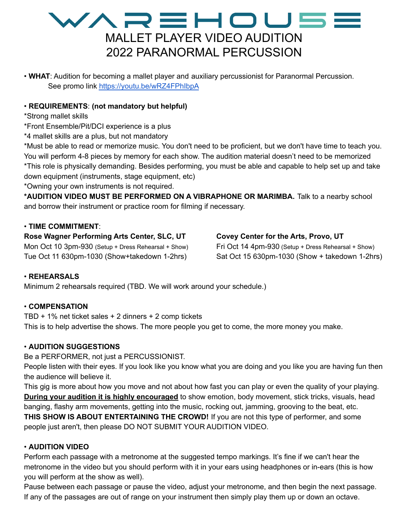### WAREHOU5E MALLET PLAYER VIDEO AUDITION 2022 PARANORMAL PERCUSSION

• **WHAT**: Audition for becoming a mallet player and auxiliary percussionist for Paranormal Percussion. See promo link <https://youtu.be/wRZ4FPhIbpA>

#### • **REQUIREMENTS**: **(not mandatory but helpful)**

\*Strong mallet skills

\*Front Ensemble/Pit/DCI experience is a plus

\*4 mallet skills are a plus, but not mandatory

\*Must be able to read or memorize music. You don't need to be proficient, but we don't have time to teach you. You will perform 4-8 pieces by memory for each show. The audition material doesn't need to be memorized \*This role is physically demanding. Besides performing, you must be able and capable to help set up and take down equipment (instruments, stage equipment, etc)

\*Owning your own instruments is not required.

**\*AUDITION VIDEO MUST BE PERFORMED ON A VIBRAPHONE OR MARIMBA.** Talk to a nearby school and borrow their instrument or practice room for filming if necessary.

#### • **TIME COMMITMENT**:

**Rose Wagner Performing Arts Center, SLC, UT** Mon Oct 10 3pm-930 (Setup + Dress Rehearsal + Show) Tue Oct 11 630pm-1030 (Show+takedown 1-2hrs)

#### **Covey Center for the Arts, Provo, UT**

Fri Oct 14 4pm-930 (Setup + Dress Rehearsal + Show) Sat Oct 15 630pm-1030 (Show + takedown 1-2hrs)

#### • **REHEARSALS**

Minimum 2 rehearsals required (TBD. We will work around your schedule.)

#### • **COMPENSATION**

TBD + 1% net ticket sales + 2 dinners + 2 comp tickets This is to help advertise the shows. The more people you get to come, the more money you make.

#### • **AUDITION SUGGESTIONS**

Be a PERFORMER, not just a PERCUSSIONIST.

People listen with their eyes. If you look like you know what you are doing and you like you are having fun then the audience will believe it.

This gig is more about how you move and not about how fast you can play or even the quality of your playing. **During your audition it is highly encouraged** to show emotion, body movement, stick tricks, visuals, head banging, flashy arm movements, getting into the music, rocking out, jamming, grooving to the beat, etc. **THIS SHOW IS ABOUT ENTERTAINING THE CROWD!** If you are not this type of performer, and some people just aren't, then please DO NOT SUBMIT YOUR AUDITION VIDEO.

#### • **AUDITION VIDEO**

Perform each passage with a metronome at the suggested tempo markings. It's fine if we can't hear the metronome in the video but you should perform with it in your ears using headphones or in-ears (this is how you will perform at the show as well).

Pause between each passage or pause the video, adjust your metronome, and then begin the next passage. If any of the passages are out of range on your instrument then simply play them up or down an octave.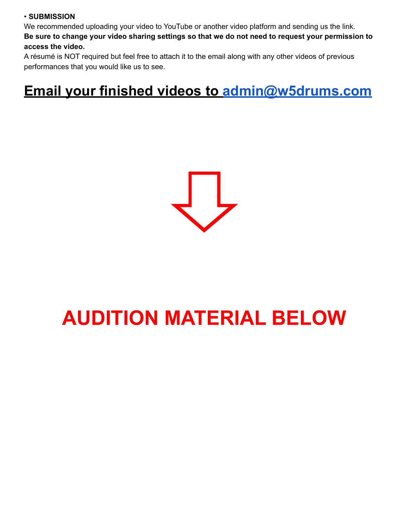#### • **SUBMISSION**

We recommended uploading your video to YouTube or another video platform and sending us the link. Be sure to change your video sharing settings so that we do not need to request your permission to **access the video.**

A résumé is NOT required but feel free to attach it to the email along with any other videos of previous performances that you would like us to see.

## **Email your finished videos to [admin@w5drums.com](mailto:admin@w5drums.com)**



# **AUDITION MATERIAL BELOW**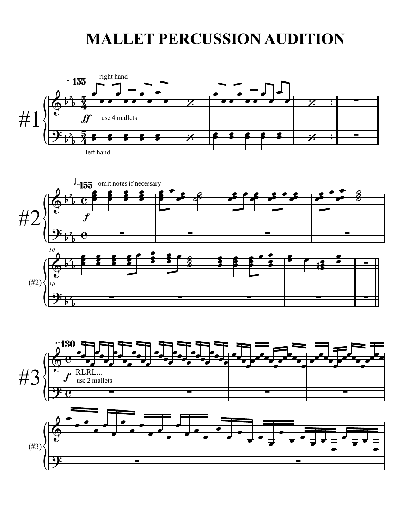## **MALLET PERCUSSION AUDITION**